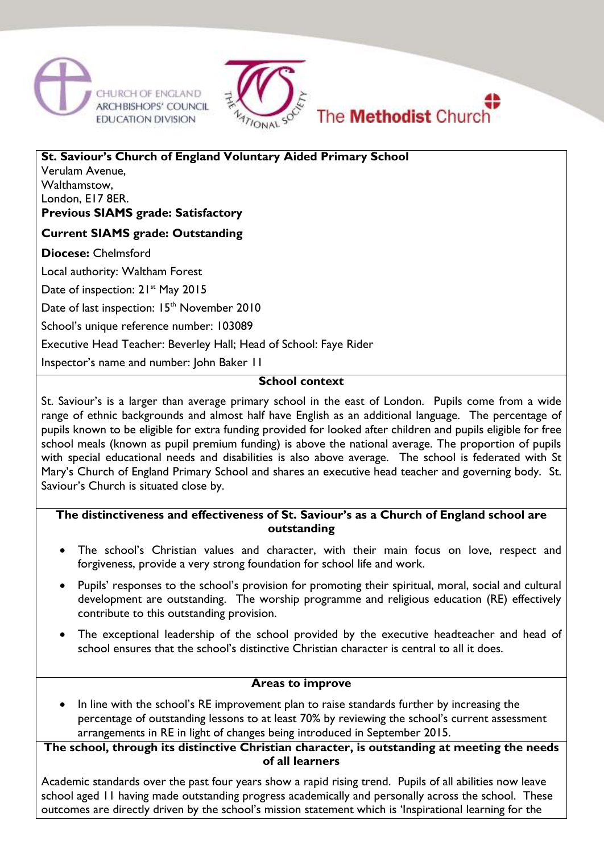



**St. Saviour's Church of England Voluntary Aided Primary School** Verulam Avenue, Walthamstow, London, E17 8ER. **Previous SIAMS grade: Satisfactory** 

**Current SIAMS grade: Outstanding**

**Diocese:** Chelmsford

Local authority: Waltham Forest

Date of inspection: 21<sup>st</sup> May 2015

Date of last inspection: 15<sup>th</sup> November 2010

School's unique reference number: 103089

Executive Head Teacher: Beverley Hall; Head of School: Faye Rider

Inspector's name and number: John Baker 11

### **School context**

St. Saviour's is a larger than average primary school in the east of London. Pupils come from a wide range of ethnic backgrounds and almost half have English as an additional language. The percentage of pupils known to be eligible for extra funding provided for looked after children and pupils eligible for free school meals (known as pupil premium funding) is above the national average. The proportion of pupils with special educational needs and disabilities is also above average. The school is federated with St Mary's Church of England Primary School and shares an executive head teacher and governing body. St. Saviour's Church is situated close by.

### **The distinctiveness and effectiveness of St. Saviour's as a Church of England school are outstanding**

- The school's Christian values and character, with their main focus on love, respect and forgiveness, provide a very strong foundation for school life and work.
- Pupils' responses to the school's provision for promoting their spiritual, moral, social and cultural development are outstanding. The worship programme and religious education (RE) effectively contribute to this outstanding provision.
- The exceptional leadership of the school provided by the executive headteacher and head of school ensures that the school's distinctive Christian character is central to all it does.

#### **Areas to improve**

 In line with the school's RE improvement plan to raise standards further by increasing the percentage of outstanding lessons to at least 70% by reviewing the school's current assessment arrangements in RE in light of changes being introduced in September 2015.

**The school, through its distinctive Christian character, is outstanding at meeting the needs of all learners**

Academic standards over the past four years show a rapid rising trend. Pupils of all abilities now leave school aged 11 having made outstanding progress academically and personally across the school. These outcomes are directly driven by the school's mission statement which is 'Inspirational learning for the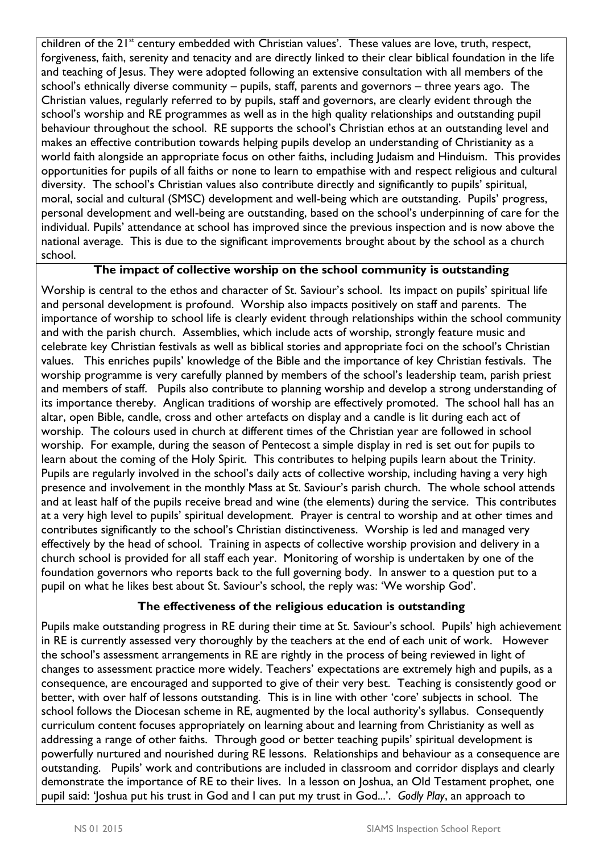children of the 21<sup>st</sup> century embedded with Christian values'. These values are love, truth, respect, forgiveness, faith, serenity and tenacity and are directly linked to their clear biblical foundation in the life and teaching of Jesus. They were adopted following an extensive consultation with all members of the school's ethnically diverse community – pupils, staff, parents and governors – three years ago. The Christian values, regularly referred to by pupils, staff and governors, are clearly evident through the school's worship and RE programmes as well as in the high quality relationships and outstanding pupil behaviour throughout the school. RE supports the school's Christian ethos at an outstanding level and makes an effective contribution towards helping pupils develop an understanding of Christianity as a world faith alongside an appropriate focus on other faiths, including Judaism and Hinduism. This provides opportunities for pupils of all faiths or none to learn to empathise with and respect religious and cultural diversity. The school's Christian values also contribute directly and significantly to pupils' spiritual, moral, social and cultural (SMSC) development and well-being which are outstanding. Pupils' progress, personal development and well-being are outstanding, based on the school's underpinning of care for the individual. Pupils' attendance at school has improved since the previous inspection and is now above the national average. This is due to the significant improvements brought about by the school as a church school.

# **The impact of collective worship on the school community is outstanding**

Worship is central to the ethos and character of St. Saviour's school. Its impact on pupils' spiritual life and personal development is profound. Worship also impacts positively on staff and parents. The importance of worship to school life is clearly evident through relationships within the school community and with the parish church. Assemblies, which include acts of worship, strongly feature music and celebrate key Christian festivals as well as biblical stories and appropriate foci on the school's Christian values. This enriches pupils' knowledge of the Bible and the importance of key Christian festivals. The worship programme is very carefully planned by members of the school's leadership team, parish priest and members of staff. Pupils also contribute to planning worship and develop a strong understanding of its importance thereby. Anglican traditions of worship are effectively promoted. The school hall has an altar, open Bible, candle, cross and other artefacts on display and a candle is lit during each act of worship. The colours used in church at different times of the Christian year are followed in school worship. For example, during the season of Pentecost a simple display in red is set out for pupils to learn about the coming of the Holy Spirit. This contributes to helping pupils learn about the Trinity. Pupils are regularly involved in the school's daily acts of collective worship, including having a very high presence and involvement in the monthly Mass at St. Saviour's parish church. The whole school attends and at least half of the pupils receive bread and wine (the elements) during the service. This contributes at a very high level to pupils' spiritual development. Prayer is central to worship and at other times and contributes significantly to the school's Christian distinctiveness. Worship is led and managed very effectively by the head of school. Training in aspects of collective worship provision and delivery in a church school is provided for all staff each year. Monitoring of worship is undertaken by one of the foundation governors who reports back to the full governing body. In answer to a question put to a pupil on what he likes best about St. Saviour's school, the reply was: 'We worship God'.

# **The effectiveness of the religious education is outstanding**

Pupils make outstanding progress in RE during their time at St. Saviour's school. Pupils' high achievement in RE is currently assessed very thoroughly by the teachers at the end of each unit of work. However the school's assessment arrangements in RE are rightly in the process of being reviewed in light of changes to assessment practice more widely. Teachers' expectations are extremely high and pupils, as a consequence, are encouraged and supported to give of their very best. Teaching is consistently good or better, with over half of lessons outstanding. This is in line with other 'core' subjects in school. The school follows the Diocesan scheme in RE, augmented by the local authority's syllabus. Consequently curriculum content focuses appropriately on learning about and learning from Christianity as well as addressing a range of other faiths. Through good or better teaching pupils' spiritual development is powerfully nurtured and nourished during RE lessons. Relationships and behaviour as a consequence are outstanding. Pupils' work and contributions are included in classroom and corridor displays and clearly demonstrate the importance of RE to their lives. In a lesson on Joshua, an Old Testament prophet, one pupil said: 'Joshua put his trust in God and I can put my trust in God...'. *Godly Play*, an approach to